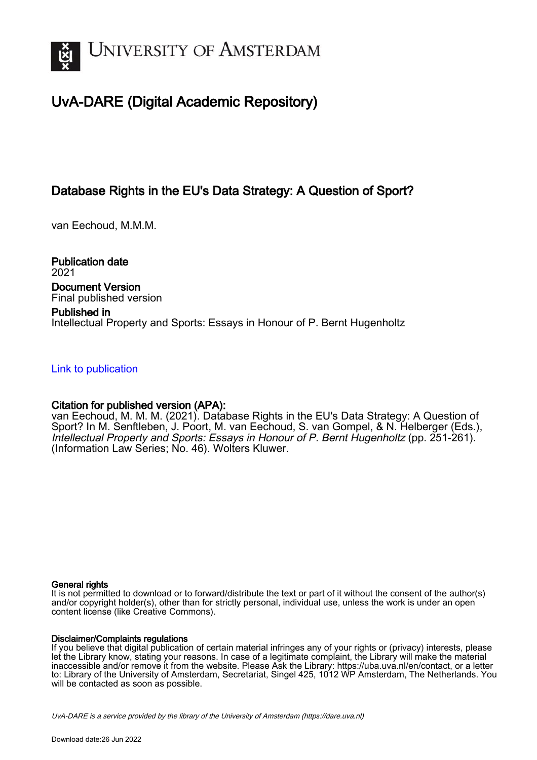

# UvA-DARE (Digital Academic Repository)

## Database Rights in the EU's Data Strategy: A Question of Sport?

van Eechoud, M.M.M.

Publication date 2021 Document Version Final published version

### Published in

Intellectual Property and Sports: Essays in Honour of P. Bernt Hugenholtz

### [Link to publication](https://dare.uva.nl/personal/pure/en/publications/database-rights-in-the-eus-data-strategy-a-question-of-sport(3d05f5cd-dd3c-485e-8a8c-bb4933084a9f).html)

## Citation for published version (APA):

van Eechoud, M. M. M. (2021). Database Rights in the EU's Data Strategy: A Question of Sport? In M. Senftleben, J. Poort, M. van Eechoud, S. van Gompel, & N. Helberger (Eds.), Intellectual Property and Sports: Essays in Honour of P. Bernt Hugenholtz (pp. 251-261). (Information Law Series; No. 46). Wolters Kluwer.

#### General rights

It is not permitted to download or to forward/distribute the text or part of it without the consent of the author(s) and/or copyright holder(s), other than for strictly personal, individual use, unless the work is under an open content license (like Creative Commons).

#### Disclaimer/Complaints regulations

If you believe that digital publication of certain material infringes any of your rights or (privacy) interests, please let the Library know, stating your reasons. In case of a legitimate complaint, the Library will make the material inaccessible and/or remove it from the website. Please Ask the Library: https://uba.uva.nl/en/contact, or a letter to: Library of the University of Amsterdam, Secretariat, Singel 425, 1012 WP Amsterdam, The Netherlands. You will be contacted as soon as possible.

UvA-DARE is a service provided by the library of the University of Amsterdam (http*s*://dare.uva.nl)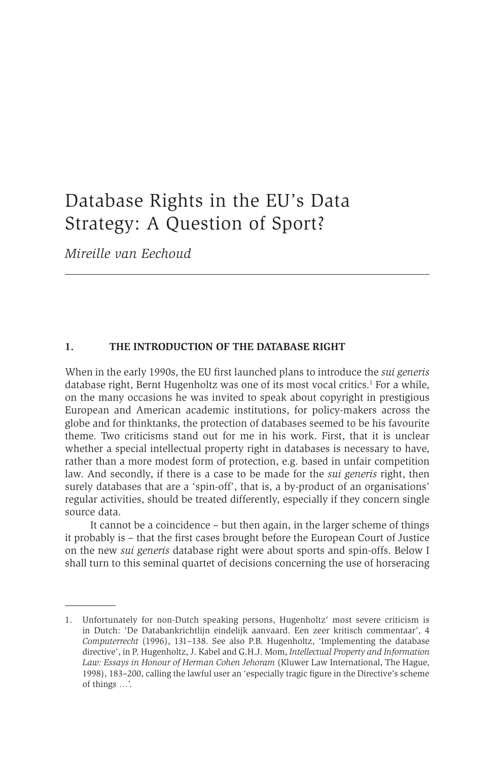## Database Rights in the EU's Data Strategy: A Question of Sport?

*Mireille van Eechoud*

#### **1. THE INTRODUCTION OF THE DATABASE RIGHT**

When in the early 1990s, the EU first launched plans to introduce the *sui generis* database right, Bernt Hugenholtz was one of its most vocal critics.<sup>1</sup> For a while, on the many occasions he was invited to speak about copyright in prestigious European and American academic institutions, for policy-makers across the globe and for thinktanks, the protection of databases seemed to be his favourite theme. Two criticisms stand out for me in his work. First, that it is unclear whether a special intellectual property right in databases is necessary to have, rather than a more modest form of protection, e.g. based in unfair competition law. And secondly, if there is a case to be made for the *sui generis* right, then surely databases that are a 'spin-off', that is, a by-product of an organisations' regular activities, should be treated differently, especially if they concern single source data.

It cannot be a coincidence – but then again, in the larger scheme of things it probably is – that the first cases brought before the European Court of Justice on the new *sui generis* database right were about sports and spin-offs. Below I shall turn to this seminal quartet of decisions concerning the use of horseracing

<sup>1.</sup> Unfortunately for non-Dutch speaking persons, Hugenholtz' most severe criticism is in Dutch: 'De Databankrichtlijn eindelijk aanvaard. Een zeer kritisch commentaar', 4 *Computerrecht* (1996), 131–138. See also P.B. Hugenholtz, 'Implementing the database directive', in P. Hugenholtz, J. Kabel and G.H.J. Mom, *Intellectual Property and Information Law: Essays in Honour of Herman Cohen Jehoram* (Kluwer Law International, The Hague, 1998), 183–200, calling the lawful user an 'especially tragic figure in the Directive's scheme of things …'.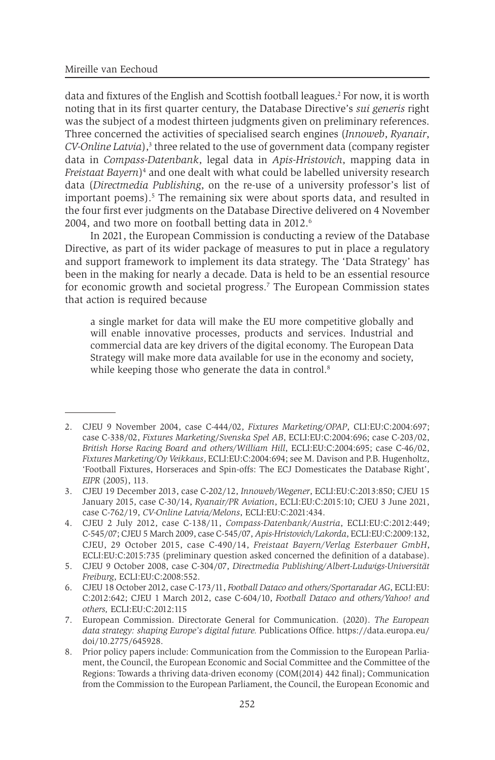data and fixtures of the English and Scottish football leagues.2 For now, it is worth noting that in its first quarter century, the Database Directive's *sui generis* right was the subject of a modest thirteen judgments given on preliminary references. Three concerned the activities of specialised search engines (*Innoweb*, *Ryanair*, CV-Online Latvia),<sup>3</sup> three related to the use of government data (company register data in *Compass-Datenbank*, legal data in *Apis-Hristovich*, mapping data in *Freistaat Bayern*)4 and one dealt with what could be labelled university research data (*Directmedia Publishing*, on the re-use of a university professor's list of important poems).<sup>5</sup> The remaining six were about sports data, and resulted in the four first ever judgments on the Database Directive delivered on 4 November 2004, and two more on football betting data in 2012.<sup>6</sup>

In 2021, the European Commission is conducting a review of the Database Directive, as part of its wider package of measures to put in place a regulatory and support framework to implement its data strategy. The 'Data Strategy' has been in the making for nearly a decade. Data is held to be an essential resource for economic growth and societal progress.<sup>7</sup> The European Commission states that action is required because

a single market for data will make the EU more competitive globally and will enable innovative processes, products and services. Industrial and commercial data are key drivers of the digital economy. The European Data Strategy will make more data available for use in the economy and society, while keeping those who generate the data in control.<sup>8</sup>

<sup>2.</sup> CJEU 9 November 2004, case C-444/02, *Fixtures Marketing/OPAP*, CLI:EU:C:2004:697; case C-338/02, *Fixtures Marketing*/*Svenska Spel AB*, ECLI:EU:C:2004:696; case C-203/02, *British Horse Racing Board and others/William Hill*, ECLI:EU:C:2004:695; case C-46/02, *Fixtures Marketing/Oy Veikkaus*, ECLI:EU:C:2004:694; see M. Davison and P.B. Hugenholtz, 'Football Fixtures, Horseraces and Spin-offs: The ECJ Domesticates the Database Right', *EIPR* (2005), 113.

<sup>3.</sup> CJEU 19 December 2013, case C-202/12, *Innoweb/Wegener*, ECLI:EU:C:2013:850; CJEU 15 January 2015, case C-30/14, *Ryanair/PR Aviation*, ECLI:EU:C:2015:10; CJEU 3 June 2021, case C-762/19, *CV-Online Latvia/Melons*, ECLI:EU:C:2021:434.

<sup>4.</sup> CJEU 2 July 2012, case C-138/11, *Compass-Datenbank/Austria*, ECLI:EU:C:2012:449; C-545/07; CJEU 5 March 2009, case C-545/07, *Apis-Hristovich/Lakorda*, ECLI:EU:C:2009:132, CJEU, 29 October 2015, case C-490/14, *Freistaat Bayern/Verlag Esterbauer GmbH*, ECLI:EU:C:2015:735 (preliminary question asked concerned the definition of a database).

<sup>5.</sup> CJEU 9 October 2008, case C-304/07, *Directmedia Publishing/Albert-Ludwigs-Universität Freiburg*, ECLI:EU:C:2008:552.

<sup>6.</sup> CJEU 18 October 2012, case C-173/11, *Football Dataco and others/Sportaradar AG*, ECLI:EU: C:2012:642; CJEU 1 March 2012, case C-604/10, *Football Dataco and others/Yahoo! and others,* ECLI:EU:C:2012:115

<sup>7.</sup> European Commission. Directorate General for Communication. (2020). *The European data strategy: shaping Europe's digital future.* Publications Office. https://data.europa.eu/ doi/10.2775/645928.

<sup>8.</sup> Prior policy papers include: Communication from the Commission to the European Parliament, the Council, the European Economic and Social Committee and the Committee of the Regions: Towards a thriving data-driven economy (COM(2014) 442 final); Communication from the Commission to the European Parliament, the Council, the European Economic and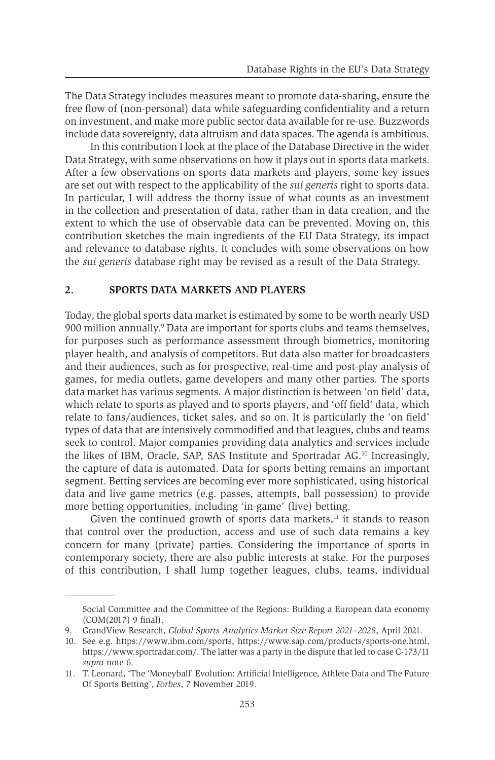The Data Strategy includes measures meant to promote data-sharing, ensure the free flow of (non-personal) data while safeguarding confidentiality and a return on investment, and make more public sector data available for re-use. Buzzwords include data sovereignty, data altruism and data spaces. The agenda is ambitious.

In this contribution I look at the place of the Database Directive in the wider Data Strategy, with some observations on how it plays out in sports data markets. After a few observations on sports data markets and players, some key issues are set out with respect to the applicability of the *sui generis* right to sports data. In particular, I will address the thorny issue of what counts as an investment in the collection and presentation of data, rather than in data creation, and the extent to which the use of observable data can be prevented. Moving on, this contribution sketches the main ingredients of the EU Data Strategy, its impact and relevance to database rights. It concludes with some observations on how the *sui generis* database right may be revised as a result of the Data Strategy.

#### **2. SPORTS DATA MARKETS AND PLAYERS**

Today, the global sports data market is estimated by some to be worth nearly USD 900 million annually.9 Data are important for sports clubs and teams themselves, for purposes such as performance assessment through biometrics, monitoring player health, and analysis of competitors. But data also matter for broadcasters and their audiences, such as for prospective, real-time and post-play analysis of games, for media outlets, game developers and many other parties. The sports data market has various segments. A major distinction is between 'on field' data, which relate to sports as played and to sports players, and 'off field' data, which relate to fans/audiences, ticket sales, and so on. It is particularly the 'on field' types of data that are intensively commodified and that leagues, clubs and teams seek to control. Major companies providing data analytics and services include the likes of IBM, Oracle, SAP, SAS Institute and Sportradar AG.10 Increasingly, the capture of data is automated. Data for sports betting remains an important segment. Betting services are becoming ever more sophisticated, using historical data and live game metrics (e.g. passes, attempts, ball possession) to provide more betting opportunities, including 'in-game' (live) betting.

Given the continued growth of sports data markets, $<sup>11</sup>$  it stands to reason</sup> that control over the production, access and use of such data remains a key concern for many (private) parties. Considering the importance of sports in contemporary society, there are also public interests at stake. For the purposes of this contribution, I shall lump together leagues, clubs, teams, individual

Social Committee and the Committee of the Regions: Building a European data economy (COM(2017) 9 final).

<sup>9.</sup> GrandView Research, *Global Sports Analytics Market Size Report 2021–2028*, April 2021.

<sup>10.</sup> See e.g. https://www.ibm.com/sports, https://www.sap.com/products/sports-one.html, https://www.sportradar.com/. The latter was a party in the dispute that led to case C-173/11 *supra* note 6.

<sup>11.</sup> T. Leonard, 'The 'Moneyball' Evolution: Artificial Intelligence, Athlete Data and The Future Of Sports Betting', *Forbes*, 7 November 2019.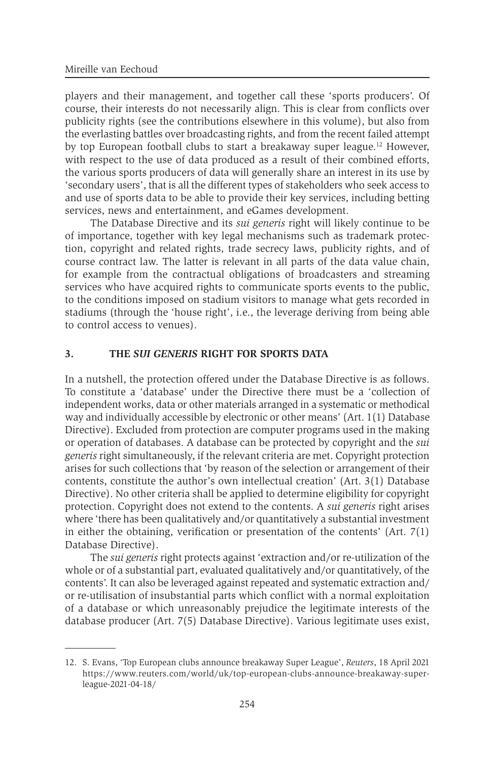players and their management, and together call these 'sports producers'. Of course, their interests do not necessarily align. This is clear from conflicts over publicity rights (see the contributions elsewhere in this volume), but also from the everlasting battles over broadcasting rights, and from the recent failed attempt by top European football clubs to start a breakaway super league.12 However, with respect to the use of data produced as a result of their combined efforts, the various sports producers of data will generally share an interest in its use by 'secondary users', that is all the different types of stakeholders who seek access to and use of sports data to be able to provide their key services, including betting services, news and entertainment, and eGames development.

The Database Directive and its *sui generis* right will likely continue to be of importance, together with key legal mechanisms such as trademark protection, copyright and related rights, trade secrecy laws, publicity rights, and of course contract law. The latter is relevant in all parts of the data value chain, for example from the contractual obligations of broadcasters and streaming services who have acquired rights to communicate sports events to the public, to the conditions imposed on stadium visitors to manage what gets recorded in stadiums (through the 'house right', i.e., the leverage deriving from being able to control access to venues).

#### **3. THE** *SUI GENERIS* **RIGHT FOR SPORTS DATA**

In a nutshell, the protection offered under the Database Directive is as follows. To constitute a 'database' under the Directive there must be a 'collection of independent works, data or other materials arranged in a systematic or methodical way and individually accessible by electronic or other means' (Art. 1(1) Database Directive). Excluded from protection are computer programs used in the making or operation of databases. A database can be protected by copyright and the *sui generis* right simultaneously, if the relevant criteria are met. Copyright protection arises for such collections that 'by reason of the selection or arrangement of their contents, constitute the author's own intellectual creation' (Art. 3(1) Database Directive). No other criteria shall be applied to determine eligibility for copyright protection. Copyright does not extend to the contents. A *sui generis* right arises where 'there has been qualitatively and/or quantitatively a substantial investment in either the obtaining, verification or presentation of the contents'  $(Art. 7(1))$ Database Directive).

The *sui generis* right protects against 'extraction and/or re-utilization of the whole or of a substantial part, evaluated qualitatively and/or quantitatively, of the contents'. It can also be leveraged against repeated and systematic extraction and/ or re-utilisation of insubstantial parts which conflict with a normal exploitation of a database or which unreasonably prejudice the legitimate interests of the database producer (Art. 7(5) Database Directive). Various legitimate uses exist,

<sup>12.</sup> S. Evans, 'Top European clubs announce breakaway Super League', *Reuters*, 18 April 2021 https://www.reuters.com/world/uk/top-european-clubs-announce-breakaway-superleague-2021-04-18/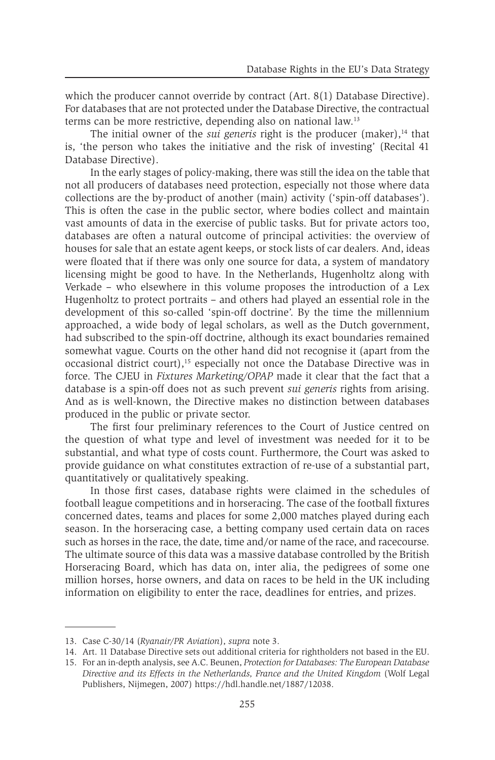which the producer cannot override by contract (Art. 8(1) Database Directive). For databases that are not protected under the Database Directive, the contractual terms can be more restrictive, depending also on national law.13

The initial owner of the *sui generis* right is the producer (maker),<sup>14</sup> that is, 'the person who takes the initiative and the risk of investing' (Recital 41 Database Directive).

In the early stages of policy-making, there was still the idea on the table that not all producers of databases need protection, especially not those where data collections are the by-product of another (main) activity ('spin-off databases'). This is often the case in the public sector, where bodies collect and maintain vast amounts of data in the exercise of public tasks. But for private actors too, databases are often a natural outcome of principal activities: the overview of houses for sale that an estate agent keeps, or stock lists of car dealers. And, ideas were floated that if there was only one source for data, a system of mandatory licensing might be good to have. In the Netherlands, Hugenholtz along with Verkade – who elsewhere in this volume proposes the introduction of a Lex Hugenholtz to protect portraits – and others had played an essential role in the development of this so-called 'spin-off doctrine'. By the time the millennium approached, a wide body of legal scholars, as well as the Dutch government, had subscribed to the spin-off doctrine, although its exact boundaries remained somewhat vague. Courts on the other hand did not recognise it (apart from the occasional district court),15 especially not once the Database Directive was in force. The CJEU in *Fixtures Marketing/OPAP* made it clear that the fact that a database is a spin-off does not as such prevent *sui generis* rights from arising. And as is well-known, the Directive makes no distinction between databases produced in the public or private sector.

The first four preliminary references to the Court of Justice centred on the question of what type and level of investment was needed for it to be substantial, and what type of costs count. Furthermore, the Court was asked to provide guidance on what constitutes extraction of re-use of a substantial part, quantitatively or qualitatively speaking.

In those first cases, database rights were claimed in the schedules of football league competitions and in horseracing. The case of the football fixtures concerned dates, teams and places for some 2,000 matches played during each season. In the horseracing case, a betting company used certain data on races such as horses in the race, the date, time and/or name of the race, and racecourse. The ultimate source of this data was a massive database controlled by the British Horseracing Board, which has data on, inter alia, the pedigrees of some one million horses, horse owners, and data on races to be held in the UK including information on eligibility to enter the race, deadlines for entries, and prizes.

<sup>13.</sup> Case C-30/14 (*Ryanair/PR Aviation*), *supra* note 3.

<sup>14.</sup> Art. 11 Database Directive sets out additional criteria for rightholders not based in the EU.

<sup>15.</sup> For an in-depth analysis, see A.C. Beunen, *Protection for Databases: The European Database Directive and its Effects in the Netherlands, France and the United Kingdom* (Wolf Legal Publishers, Nijmegen, 2007) https://hdl.handle.net/1887/12038.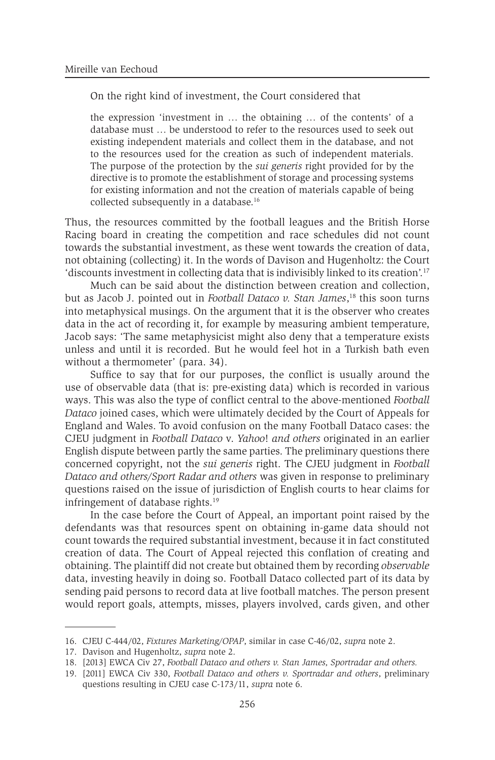On the right kind of investment, the Court considered that

the expression 'investment in … the obtaining … of the contents' of a database must … be understood to refer to the resources used to seek out existing independent materials and collect them in the database, and not to the resources used for the creation as such of independent materials. The purpose of the protection by the *sui generis* right provided for by the directive is to promote the establishment of storage and processing systems for existing information and not the creation of materials capable of being collected subsequently in a database.16

Thus, the resources committed by the football leagues and the British Horse Racing board in creating the competition and race schedules did not count towards the substantial investment, as these went towards the creation of data, not obtaining (collecting) it. In the words of Davison and Hugenholtz: the Court 'discounts investment in collecting data that is indivisibly linked to its creation'.17

Much can be said about the distinction between creation and collection, but as Jacob J. pointed out in *Football Dataco v. Stan James*, 18 this soon turns into metaphysical musings. On the argument that it is the observer who creates data in the act of recording it, for example by measuring ambient temperature, Jacob says: 'The same metaphysicist might also deny that a temperature exists unless and until it is recorded. But he would feel hot in a Turkish bath even without a thermometer' (para. 34).

Suffice to say that for our purposes, the conflict is usually around the use of observable data (that is: pre-existing data) which is recorded in various ways. This was also the type of conflict central to the above-mentioned *Football Dataco* joined cases, which were ultimately decided by the Court of Appeals for England and Wales. To avoid confusion on the many Football Dataco cases: the CJEU judgment in *Football Dataco* v. *Yahoo*! *and others* originated in an earlier English dispute between partly the same parties. The preliminary questions there concerned copyright, not the *sui generis* right. The CJEU judgment in *Football Dataco and others/Sport Radar and others* was given in response to preliminary questions raised on the issue of jurisdiction of English courts to hear claims for infringement of database rights.<sup>19</sup>

In the case before the Court of Appeal, an important point raised by the defendants was that resources spent on obtaining in-game data should not count towards the required substantial investment, because it in fact constituted creation of data. The Court of Appeal rejected this conflation of creating and obtaining. The plaintiff did not create but obtained them by recording *observable* data, investing heavily in doing so. Football Dataco collected part of its data by sending paid persons to record data at live football matches. The person present would report goals, attempts, misses, players involved, cards given, and other

<sup>16.</sup> CJEU C-444/02, *Fixtures Marketing/OPAP*, similar in case C-46/02, *supra* note 2.

<sup>17.</sup> Davison and Hugenholtz, *supra* note 2.

<sup>18.</sup> [2013] EWCA Civ 27, *Football Dataco and others v. Stan James, Sportradar and others.*

<sup>19.</sup> [2011] EWCA Civ 330, *Football Dataco and others v. Sportradar and others*, preliminary questions resulting in CJEU case C-173/11, *supra* note 6.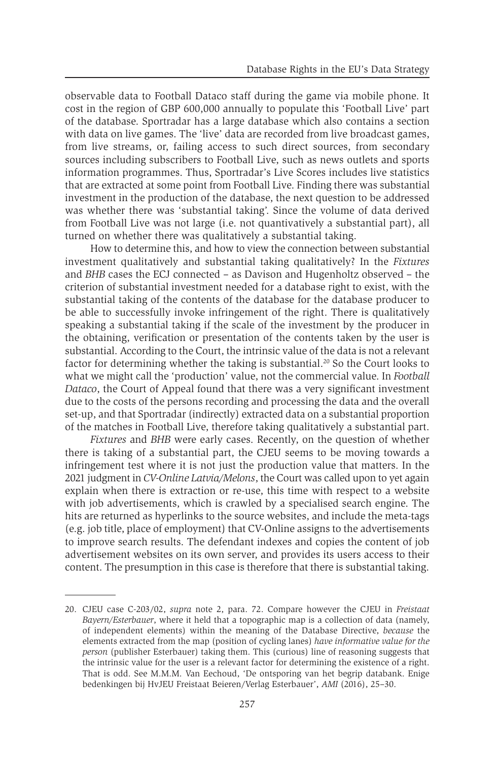observable data to Football Dataco staff during the game via mobile phone. It cost in the region of GBP 600,000 annually to populate this 'Football Live' part of the database. Sportradar has a large database which also contains a section with data on live games. The 'live' data are recorded from live broadcast games, from live streams, or, failing access to such direct sources, from secondary sources including subscribers to Football Live, such as news outlets and sports information programmes. Thus, Sportradar's Live Scores includes live statistics that are extracted at some point from Football Live. Finding there was substantial investment in the production of the database, the next question to be addressed was whether there was 'substantial taking'. Since the volume of data derived from Football Live was not large (i.e. not quantivatively a substantial part), all turned on whether there was qualitatively a substantial taking.

How to determine this, and how to view the connection between substantial investment qualitatively and substantial taking qualitatively? In the *Fixtures* and *BHB* cases the ECJ connected – as Davison and Hugenholtz observed – the criterion of substantial investment needed for a database right to exist, with the substantial taking of the contents of the database for the database producer to be able to successfully invoke infringement of the right. There is qualitatively speaking a substantial taking if the scale of the investment by the producer in the obtaining, verification or presentation of the contents taken by the user is substantial. According to the Court, the intrinsic value of the data is not a relevant factor for determining whether the taking is substantial.20 So the Court looks to what we might call the 'production' value, not the commercial value. In *Football Dataco*, the Court of Appeal found that there was a very significant investment due to the costs of the persons recording and processing the data and the overall set-up, and that Sportradar (indirectly) extracted data on a substantial proportion of the matches in Football Live, therefore taking qualitatively a substantial part.

*Fixtures* and *BHB* were early cases. Recently, on the question of whether there is taking of a substantial part, the CJEU seems to be moving towards a infringement test where it is not just the production value that matters. In the 2021 judgment in *CV-Online Latvia/Melons*, the Court was called upon to yet again explain when there is extraction or re-use, this time with respect to a website with job advertisements, which is crawled by a specialised search engine. The hits are returned as hyperlinks to the source websites, and include the meta-tags (e.g. job title, place of employment) that CV-Online assigns to the advertisements to improve search results. The defendant indexes and copies the content of job advertisement websites on its own server, and provides its users access to their content. The presumption in this case is therefore that there is substantial taking.

<sup>20.</sup> CJEU case C-203/02, *supra* note 2, para. 72. Compare however the CJEU in *Freistaat Bayern/Esterbauer*, where it held that a topographic map is a collection of data (namely, of independent elements) within the meaning of the Database Directive, *because* the elements extracted from the map (position of cycling lanes) *have informative value for the person* (publisher Esterbauer) taking them. This (curious) line of reasoning suggests that the intrinsic value for the user is a relevant factor for determining the existence of a right. That is odd. See M.M.M. Van Eechoud, 'De ontsporing van het begrip databank. Enige bedenkingen bij HvJEU Freistaat Beieren/Verlag Esterbauer', *AMI* (2016), 25–30.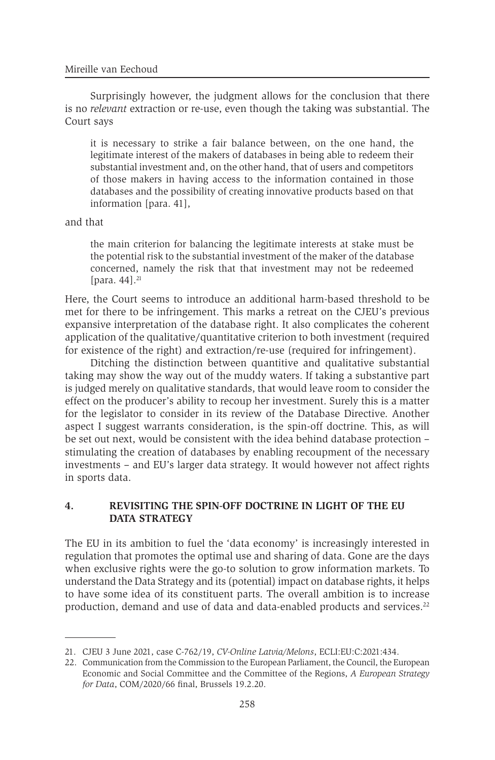Surprisingly however, the judgment allows for the conclusion that there is no *relevant* extraction or re-use, even though the taking was substantial. The Court says

it is necessary to strike a fair balance between, on the one hand, the legitimate interest of the makers of databases in being able to redeem their substantial investment and, on the other hand, that of users and competitors of those makers in having access to the information contained in those databases and the possibility of creating innovative products based on that information [para. 41],

and that

the main criterion for balancing the legitimate interests at stake must be the potential risk to the substantial investment of the maker of the database concerned, namely the risk that that investment may not be redeemed [para.  $44$ ]. $^{21}$ 

Here, the Court seems to introduce an additional harm-based threshold to be met for there to be infringement. This marks a retreat on the CJEU's previous expansive interpretation of the database right. It also complicates the coherent application of the qualitative/quantitative criterion to both investment (required for existence of the right) and extraction/re-use (required for infringement).

Ditching the distinction between quantitive and qualitative substantial taking may show the way out of the muddy waters. If taking a substantive part is judged merely on qualitative standards, that would leave room to consider the effect on the producer's ability to recoup her investment. Surely this is a matter for the legislator to consider in its review of the Database Directive. Another aspect I suggest warrants consideration, is the spin-off doctrine. This, as will be set out next, would be consistent with the idea behind database protection – stimulating the creation of databases by enabling recoupment of the necessary investments – and EU's larger data strategy. It would however not affect rights in sports data.

#### **4. REVISITING THE SPIN-OFF DOCTRINE IN LIGHT OF THE EU DATA STRATEGY**

The EU in its ambition to fuel the 'data economy' is increasingly interested in regulation that promotes the optimal use and sharing of data. Gone are the days when exclusive rights were the go-to solution to grow information markets. To understand the Data Strategy and its (potential) impact on database rights, it helps to have some idea of its constituent parts. The overall ambition is to increase production, demand and use of data and data-enabled products and services.<sup>22</sup>

<sup>21.</sup> CJEU 3 June 2021, case C-762/19, *CV-Online Latvia/Melons*, ECLI:EU:C:2021:434.

<sup>22.</sup> Communication from the Commission to the European Parliament, the Council, the European Economic and Social Committee and the Committee of the Regions, *A European Strategy for Data*, COM/2020/66 final, Brussels 19.2.20.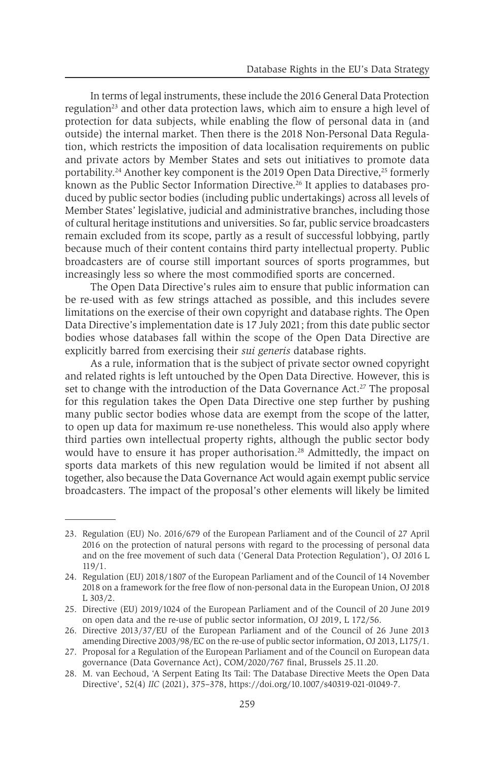In terms of legal instruments, these include the 2016 General Data Protection regulation<sup>23</sup> and other data protection laws, which aim to ensure a high level of protection for data subjects, while enabling the flow of personal data in (and outside) the internal market. Then there is the 2018 Non-Personal Data Regulation, which restricts the imposition of data localisation requirements on public and private actors by Member States and sets out initiatives to promote data portability.<sup>24</sup> Another key component is the 2019 Open Data Directive,<sup>25</sup> formerly known as the Public Sector Information Directive.<sup>26</sup> It applies to databases produced by public sector bodies (including public undertakings) across all levels of Member States' legislative, judicial and administrative branches, including those of cultural heritage institutions and universities. So far, public service broadcasters remain excluded from its scope, partly as a result of successful lobbying, partly because much of their content contains third party intellectual property. Public broadcasters are of course still important sources of sports programmes, but increasingly less so where the most commodified sports are concerned.

The Open Data Directive's rules aim to ensure that public information can be re-used with as few strings attached as possible, and this includes severe limitations on the exercise of their own copyright and database rights. The Open Data Directive's implementation date is 17 July 2021; from this date public sector bodies whose databases fall within the scope of the Open Data Directive are explicitly barred from exercising their *sui generis* database rights.

As a rule, information that is the subject of private sector owned copyright and related rights is left untouched by the Open Data Directive. However, this is set to change with the introduction of the Data Governance Act.<sup>27</sup> The proposal for this regulation takes the Open Data Directive one step further by pushing many public sector bodies whose data are exempt from the scope of the latter, to open up data for maximum re-use nonetheless. This would also apply where third parties own intellectual property rights, although the public sector body would have to ensure it has proper authorisation.<sup>28</sup> Admittedly, the impact on sports data markets of this new regulation would be limited if not absent all together, also because the Data Governance Act would again exempt public service broadcasters. The impact of the proposal's other elements will likely be limited

<sup>23.</sup> Regulation (EU) No. 2016/679 of the European Parliament and of the Council of 27 April 2016 on the protection of natural persons with regard to the processing of personal data and on the free movement of such data ('General Data Protection Regulation'), OJ 2016 L 119/1.

<sup>24.</sup> Regulation (EU) 2018/1807 of the European Parliament and of the Council of 14 November 2018 on a framework for the free flow of non-personal data in the European Union, OJ 2018 L 303/2.

<sup>25.</sup> Directive (EU) 2019/1024 of the European Parliament and of the Council of 20 June 2019 on open data and the re-use of public sector information, OJ 2019, L 172/56.

<sup>26.</sup> Directive 2013/37/EU of the European Parliament and of the Council of 26 June 2013 amending Directive 2003/98/EC on the re-use of public sector information, OJ 2013, L175/1.

<sup>27.</sup> Proposal for a Regulation of the European Parliament and of the Council on European data governance (Data Governance Act), COM/2020/767 final, Brussels 25.11.20.

<sup>28.</sup> M. van Eechoud, 'A Serpent Eating Its Tail: The Database Directive Meets the Open Data Directive', 52(4) *IIC* (2021), 375–378, https://doi.org/10.1007/s40319-021-01049-7.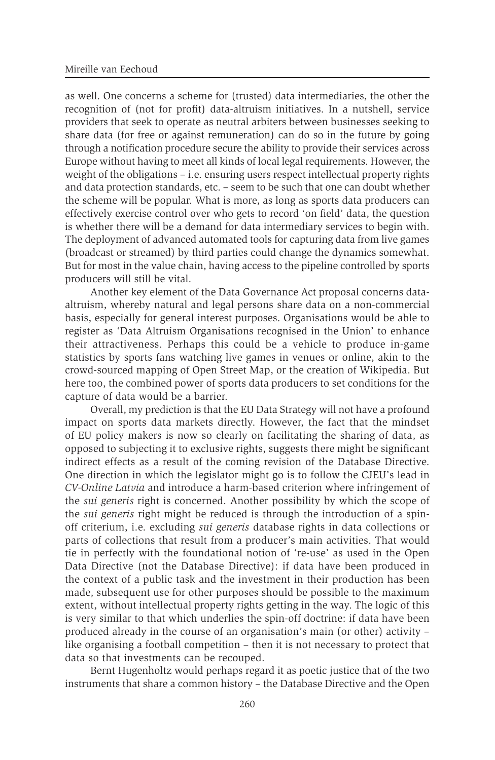as well. One concerns a scheme for (trusted) data intermediaries, the other the recognition of (not for profit) data-altruism initiatives. In a nutshell, service providers that seek to operate as neutral arbiters between businesses seeking to share data (for free or against remuneration) can do so in the future by going through a notification procedure secure the ability to provide their services across Europe without having to meet all kinds of local legal requirements. However, the weight of the obligations – i.e. ensuring users respect intellectual property rights and data protection standards, etc. – seem to be such that one can doubt whether the scheme will be popular. What is more, as long as sports data producers can effectively exercise control over who gets to record 'on field' data, the question is whether there will be a demand for data intermediary services to begin with. The deployment of advanced automated tools for capturing data from live games (broadcast or streamed) by third parties could change the dynamics somewhat. But for most in the value chain, having access to the pipeline controlled by sports producers will still be vital.

Another key element of the Data Governance Act proposal concerns dataaltruism, whereby natural and legal persons share data on a non-commercial basis, especially for general interest purposes. Organisations would be able to register as 'Data Altruism Organisations recognised in the Union' to enhance their attractiveness. Perhaps this could be a vehicle to produce in-game statistics by sports fans watching live games in venues or online, akin to the crowd-sourced mapping of Open Street Map, or the creation of Wikipedia. But here too, the combined power of sports data producers to set conditions for the capture of data would be a barrier.

Overall, my prediction is that the EU Data Strategy will not have a profound impact on sports data markets directly. However, the fact that the mindset of EU policy makers is now so clearly on facilitating the sharing of data, as opposed to subjecting it to exclusive rights, suggests there might be significant indirect effects as a result of the coming revision of the Database Directive. One direction in which the legislator might go is to follow the CJEU's lead in *CV-Online Latvia* and introduce a harm-based criterion where infringement of the *sui generis* right is concerned. Another possibility by which the scope of the *sui generis* right might be reduced is through the introduction of a spinoff criterium, i.e. excluding *sui generis* database rights in data collections or parts of collections that result from a producer's main activities. That would tie in perfectly with the foundational notion of 're-use' as used in the Open Data Directive (not the Database Directive): if data have been produced in the context of a public task and the investment in their production has been made, subsequent use for other purposes should be possible to the maximum extent, without intellectual property rights getting in the way. The logic of this is very similar to that which underlies the spin-off doctrine: if data have been produced already in the course of an organisation's main (or other) activity – like organising a football competition – then it is not necessary to protect that data so that investments can be recouped.

Bernt Hugenholtz would perhaps regard it as poetic justice that of the two instruments that share a common history – the Database Directive and the Open